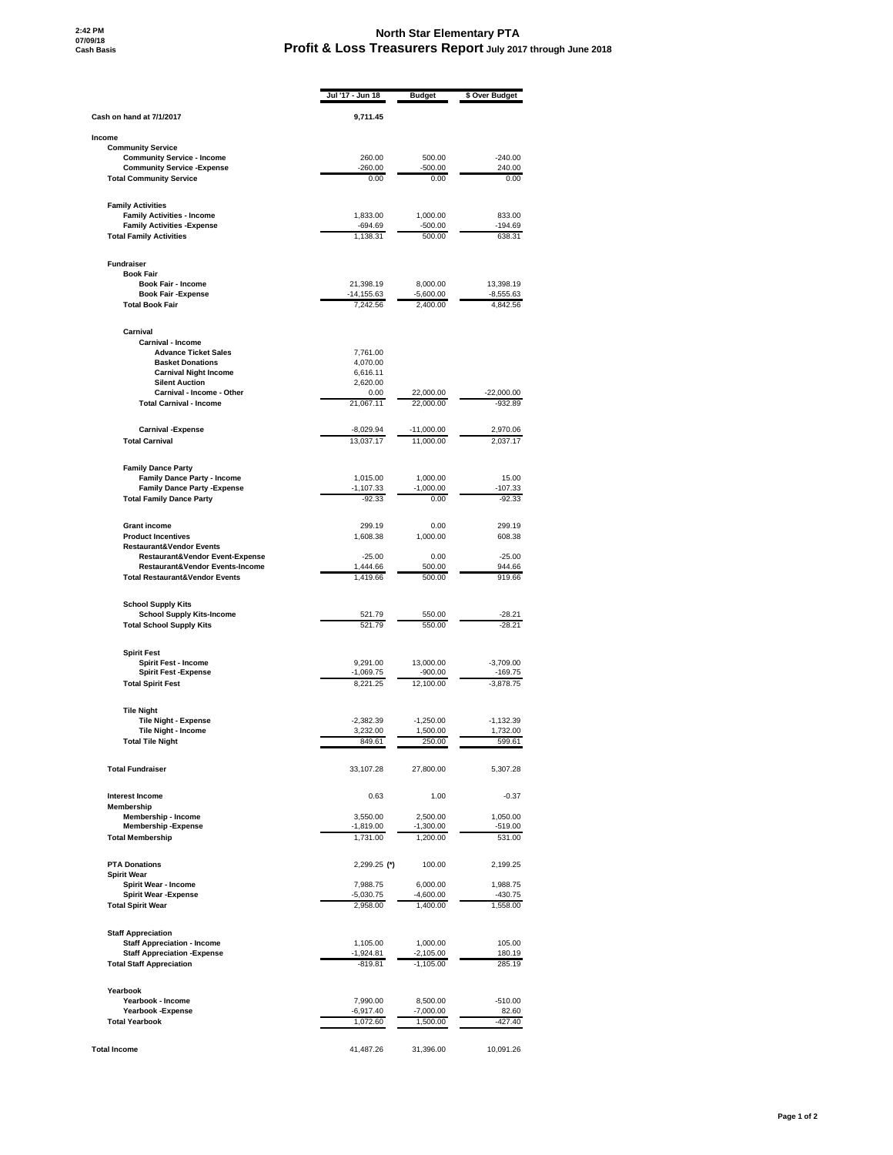## **North Star Elementary PTA Profit & Loss Treasurers Report July 2017 through June 2018**

|                                                                                   | Jul '17 - Jun 18          | <b>Budget</b>           | \$ Over Budget            |
|-----------------------------------------------------------------------------------|---------------------------|-------------------------|---------------------------|
| Cash on hand at 7/1/2017                                                          | 9,711.45                  |                         |                           |
| Income                                                                            |                           |                         |                           |
| <b>Community Service</b>                                                          |                           |                         |                           |
| <b>Community Service - Income</b><br><b>Community Service - Expense</b>           | 260.00<br>$-260.00$       | 500.00<br>-500.00       | $-240.00$<br>240.00       |
| <b>Total Community Service</b>                                                    | 0.00                      | 0.00                    | 0.00                      |
| <b>Family Activities</b>                                                          |                           |                         |                           |
| <b>Family Activities - Income</b>                                                 | 1,833.00                  | 1,000.00                | 833.00                    |
| <b>Family Activities - Expense</b><br><b>Total Family Activities</b>              | $-694.69$<br>1,138.31     | $-500.00$<br>500.00     | $-194.69$<br>638.31       |
|                                                                                   |                           |                         |                           |
| <b>Fundraiser</b><br><b>Book Fair</b>                                             |                           |                         |                           |
| <b>Book Fair - Income</b>                                                         | 21,398.19                 | 8,000.00                | 13,398.19                 |
| <b>Book Fair -Expense</b><br><b>Total Book Fair</b>                               | $-14, 155.63$<br>7,242.56 | $-5,600.00$<br>2,400.00 | $-8,555.63$<br>4,842.56   |
|                                                                                   |                           |                         |                           |
| Carnival<br><b>Carnival - Income</b>                                              |                           |                         |                           |
| <b>Advance Ticket Sales</b>                                                       | 7,761.00                  |                         |                           |
| <b>Basket Donations</b><br><b>Carnival Night Income</b>                           | 4,070.00<br>6,616.11      |                         |                           |
| <b>Silent Auction</b>                                                             | 2,620.00                  |                         |                           |
| Carnival - Income - Other                                                         | 0.00                      | 22,000.00               | $-22,000.00$              |
| <b>Total Carnival - Income</b>                                                    | 21,067.11                 | 22,000.00               | $-932.89$                 |
| <b>Carnival -Expense</b>                                                          | -8,029.94                 | -11,000.00              | 2,970.06                  |
| <b>Total Carnival</b>                                                             | 13,037.17                 | 11,000.00               | 2,037.17                  |
| <b>Family Dance Party</b>                                                         |                           |                         |                           |
| <b>Family Dance Party - Income</b><br><b>Family Dance Party - Expense</b>         | 1,015.00<br>$-1,107.33$   | 1,000.00<br>$-1,000.00$ | 15.00<br>$-107.33$        |
| <b>Total Family Dance Party</b>                                                   | $-92.33$                  | 0.00                    | $-92.33$                  |
| <b>Grant income</b>                                                               | 299.19                    | 0.00                    | 299.19                    |
| <b>Product Incentives</b>                                                         | 1,608.38                  | 1,000.00                | 608.38                    |
| <b>Restaurant&amp;Vendor Events</b><br><b>Restaurant&amp;Vendor Event-Expense</b> | $-25.00$                  | 0.00                    | $-25.00$                  |
| Restaurant&Vendor Events-Income                                                   | 1,444.66                  | 500.00                  | 944.66                    |
| <b>Total Restaurant&amp;Vendor Events</b>                                         | 1,419.66                  | 500.00                  | 919.66                    |
| <b>School Supply Kits</b>                                                         |                           |                         |                           |
| <b>School Supply Kits-Income</b><br><b>Total School Supply Kits</b>               | 521.79<br>521.79          | 550.00<br>550.00        | $-28.21$<br>$-28.21$      |
|                                                                                   |                           |                         |                           |
| <b>Spirit Fest</b><br><b>Spirit Fest - Income</b>                                 | 9,291.00                  | 13.000.00               | $-3,709.00$               |
| <b>Spirit Fest -Expense</b>                                                       | $-1,069.75$               | $-900.00$               | $-169.75$                 |
| <b>Total Spirit Fest</b>                                                          | 8,221.25                  | 12,100.00               | $-3,878.75$               |
| <b>Tile Night</b>                                                                 |                           |                         |                           |
| <b>Tile Night - Expense</b>                                                       | $-2,382.39$               | $-1,250.00$             | $-1,132.39$               |
| Tile Night - Income<br><b>lotal lile Night</b>                                    | 3,232.00<br>649.01        | 1,500.00<br>250.00      | 1,732.00<br><b>PAA'P.</b> |
|                                                                                   |                           |                         |                           |
| <b>Total Fundraiser</b>                                                           | 33,107.28                 | 27,800.00               | 5,307.28                  |
| <b>Interest Income</b><br>Membership                                              | 0.63                      | 1.00                    | $-0.37$                   |
| Membership - Income                                                               | 3,550.00                  | 2,500.00                | 1,050.00                  |
| <b>Membership -Expense</b>                                                        | $-1,819.00$               | $-1,300.00$             | $-519.00$                 |
| <b>Total Membership</b>                                                           | 1,731.00                  | 1,200.00                | 531.00                    |
| <b>PTA Donations</b>                                                              | 2,299.25 (*)              | 100.00                  | 2,199.25                  |
| <b>Spirit Wear</b><br>Spirit Wear - Income                                        | 7,988.75                  | 6,000.00                | 1,988.75                  |
| <b>Spirit Wear -Expense</b>                                                       | $-5,030.75$               | $-4,600.00$             | $-430.75$                 |
| <b>Total Spirit Wear</b>                                                          | 2,958.00                  | 1,400.00                | 1,558.00                  |
| <b>Staff Appreciation</b>                                                         |                           |                         |                           |
| <b>Staff Appreciation - Income</b><br><b>Staff Appreciation - Expense</b>         | 1,105.00<br>$-1,924.81$   | 1,000.00<br>$-2,105.00$ | 105.00<br>180.19          |
| <b>Total Staff Appreciation</b>                                                   | $-819.81$                 | $-1,105.00$             | 285.19                    |
| Yearbook                                                                          |                           |                         |                           |
| Yearbook - Income                                                                 | 7,990.00                  | 8,500.00                | $-510.00$                 |
| Yearbook - Expense                                                                | -6,917.40                 | $-7,000.00$             | 82.60                     |
| <b>Total Yearbook</b>                                                             | 1,072.60                  | 1,500.00                | -427.40                   |
| <b>Total Income</b>                                                               | 41,487.26                 | 31,396.00               | 10,091.26                 |